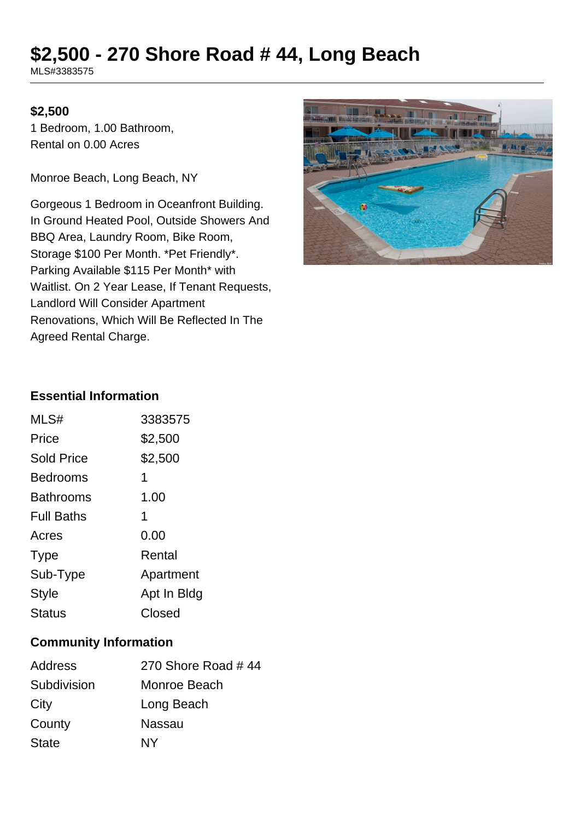# **\$2,500 - 270 Shore Road # 44, Long Beach**

MLS#3383575

#### **\$2,500**

1 Bedroom, 1.00 Bathroom, Rental on 0.00 Acres

Monroe Beach, Long Beach, NY

Gorgeous 1 Bedroom in Oceanfront Building. In Ground Heated Pool, Outside Showers And BBQ Area, Laundry Room, Bike Room, Storage \$100 Per Month. \*Pet Friendly\*. Parking Available \$115 Per Month\* with Waitlist. On 2 Year Lease, If Tenant Requests, Landlord Will Consider Apartment Renovations, Which Will Be Reflected In The Agreed Rental Charge.



#### **Essential Information**

| 3383575     |
|-------------|
| \$2,500     |
| \$2,500     |
| 1           |
| 1.00        |
| 1           |
| 0.00        |
| Rental      |
| Apartment   |
| Apt In Bldg |
| Closed      |
|             |

# **Community Information**

| Address      | 270 Shore Road #44 |
|--------------|--------------------|
| Subdivision  | Monroe Beach       |
| City         | Long Beach         |
| County       | Nassau             |
| <b>State</b> | NY                 |